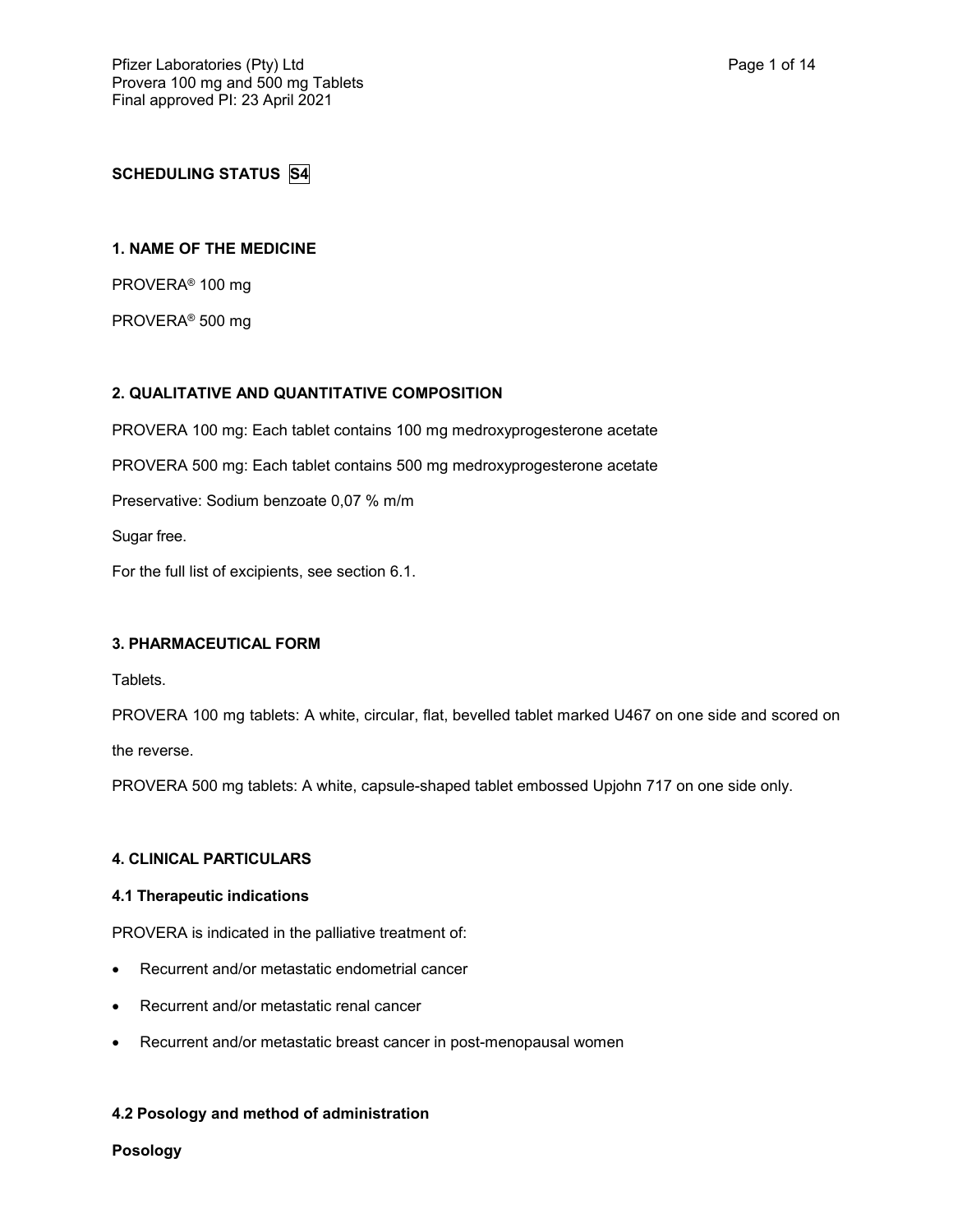# **SCHEDULING STATUS S4**

## **1. NAME OF THE MEDICINE**

PROVERA® 100 mg

PROVERA® 500 mg

## **2. QUALITATIVE AND QUANTITATIVE COMPOSITION**

PROVERA 100 mg: Each tablet contains 100 mg medroxyprogesterone acetate

PROVERA 500 mg: Each tablet contains 500 mg medroxyprogesterone acetate

Preservative: Sodium benzoate 0,07 % m/m

Sugar free.

For the full list of excipients, see section 6.1.

## **3. PHARMACEUTICAL FORM**

**Tablets** 

PROVERA 100 mg tablets: A white, circular, flat, bevelled tablet marked U467 on one side and scored on

the reverse.

PROVERA 500 mg tablets: A white, capsule-shaped tablet embossed Upjohn 717 on one side only.

## **4. CLINICAL PARTICULARS**

## **4.1 Therapeutic indications**

PROVERA is indicated in the palliative treatment of:

- Recurrent and/or metastatic endometrial cancer
- Recurrent and/or metastatic renal cancer
- Recurrent and/or metastatic breast cancer in post-menopausal women

## **4.2 Posology and method of administration**

**Posology**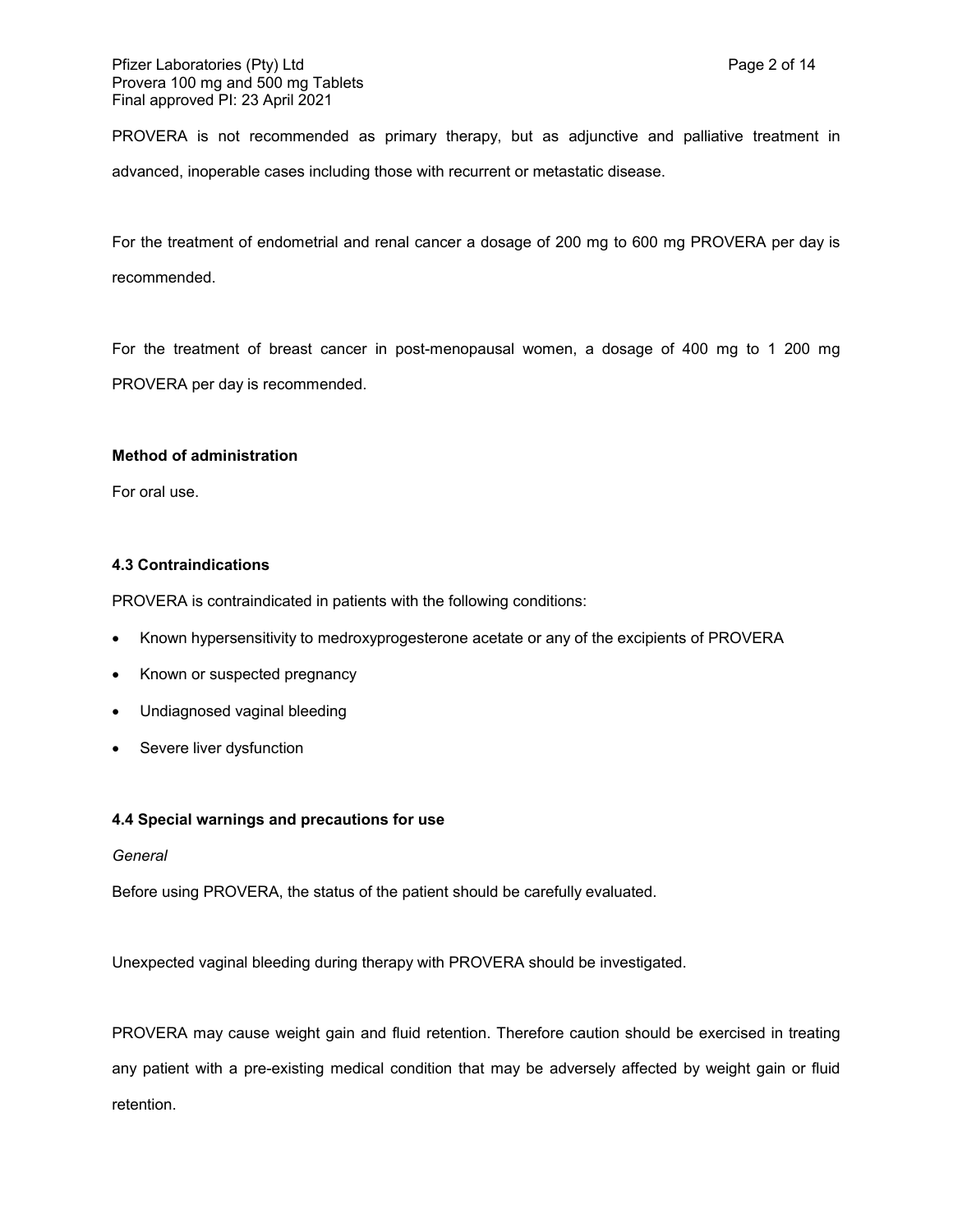PROVERA is not recommended as primary therapy, but as adjunctive and palliative treatment in advanced, inoperable cases including those with recurrent or metastatic disease.

For the treatment of endometrial and renal cancer a dosage of 200 mg to 600 mg PROVERA per day is recommended.

For the treatment of breast cancer in post-menopausal women, a dosage of 400 mg to 1 200 mg PROVERA per day is recommended.

## **Method of administration**

For oral use.

## **4.3 Contraindications**

PROVERA is contraindicated in patients with the following conditions:

- Known hypersensitivity to medroxyprogesterone acetate or any of the excipients of PROVERA
- Known or suspected pregnancy
- Undiagnosed vaginal bleeding
- Severe liver dysfunction

## **4.4 Special warnings and precautions for use**

## *General*

Before using PROVERA, the status of the patient should be carefully evaluated.

Unexpected vaginal bleeding during therapy with PROVERA should be investigated.

PROVERA may cause weight gain and fluid retention. Therefore caution should be exercised in treating any patient with a pre-existing medical condition that may be adversely affected by weight gain or fluid retention.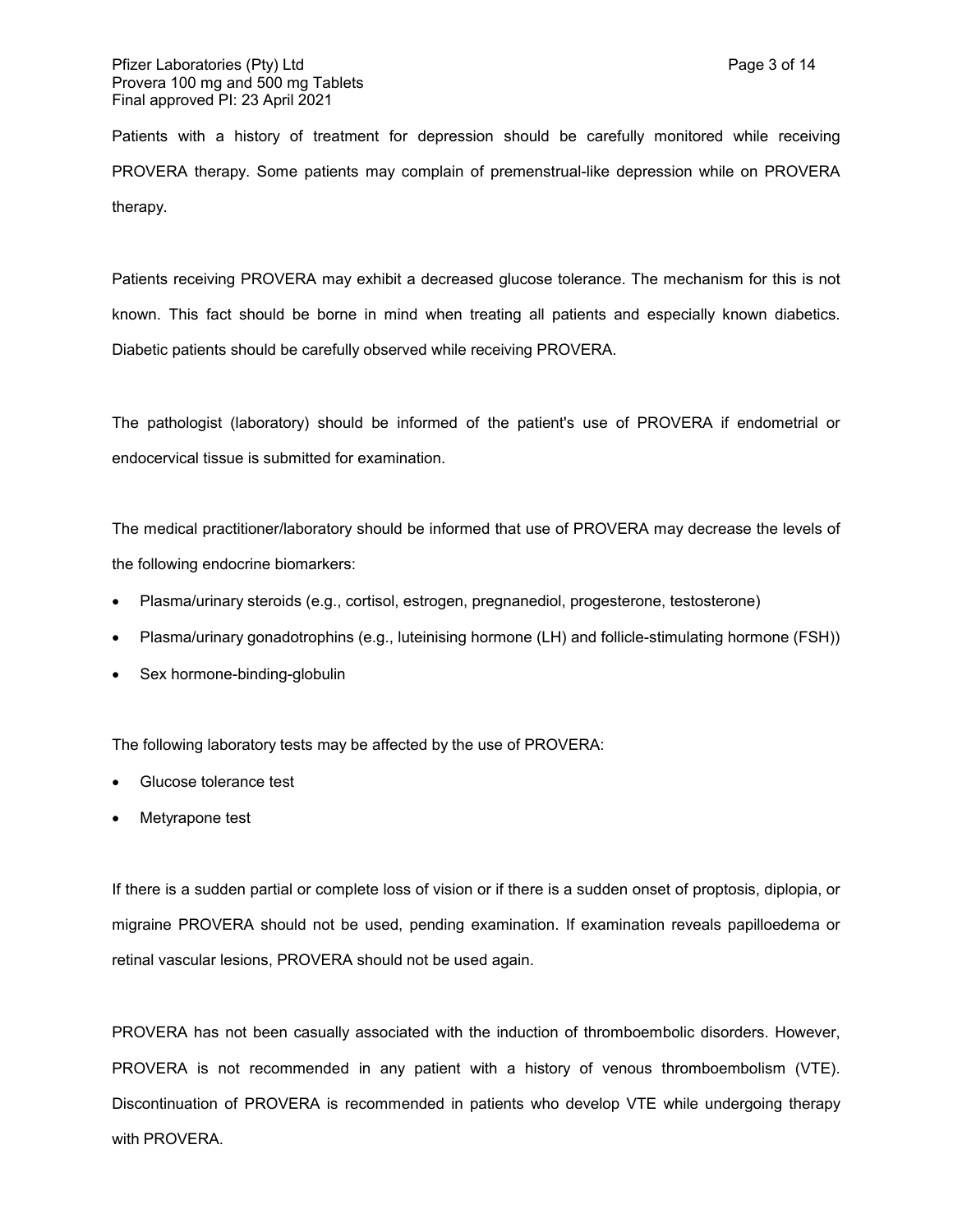Patients with a history of treatment for depression should be carefully monitored while receiving PROVERA therapy. Some patients may complain of premenstrual-like depression while on PROVERA therapy.

Patients receiving PROVERA may exhibit a decreased glucose tolerance. The mechanism for this is not known. This fact should be borne in mind when treating all patients and especially known diabetics. Diabetic patients should be carefully observed while receiving PROVERA.

The pathologist (laboratory) should be informed of the patient's use of PROVERA if endometrial or endocervical tissue is submitted for examination.

The medical practitioner/laboratory should be informed that use of PROVERA may decrease the levels of the following endocrine biomarkers:

- Plasma/urinary steroids (e.g., cortisol, estrogen, pregnanediol, progesterone, testosterone)
- Plasma/urinary gonadotrophins (e.g., luteinising hormone (LH) and follicle-stimulating hormone (FSH))
- Sex hormone-binding-globulin

The following laboratory tests may be affected by the use of PROVERA:

- Glucose tolerance test
- Metyrapone test

If there is a sudden partial or complete loss of vision or if there is a sudden onset of proptosis, diplopia, or migraine PROVERA should not be used, pending examination. If examination reveals papilloedema or retinal vascular lesions, PROVERA should not be used again.

PROVERA has not been casually associated with the induction of thromboembolic disorders. However, PROVERA is not recommended in any patient with a history of venous thromboembolism (VTE). Discontinuation of PROVERA is recommended in patients who develop VTE while undergoing therapy with PROVERA.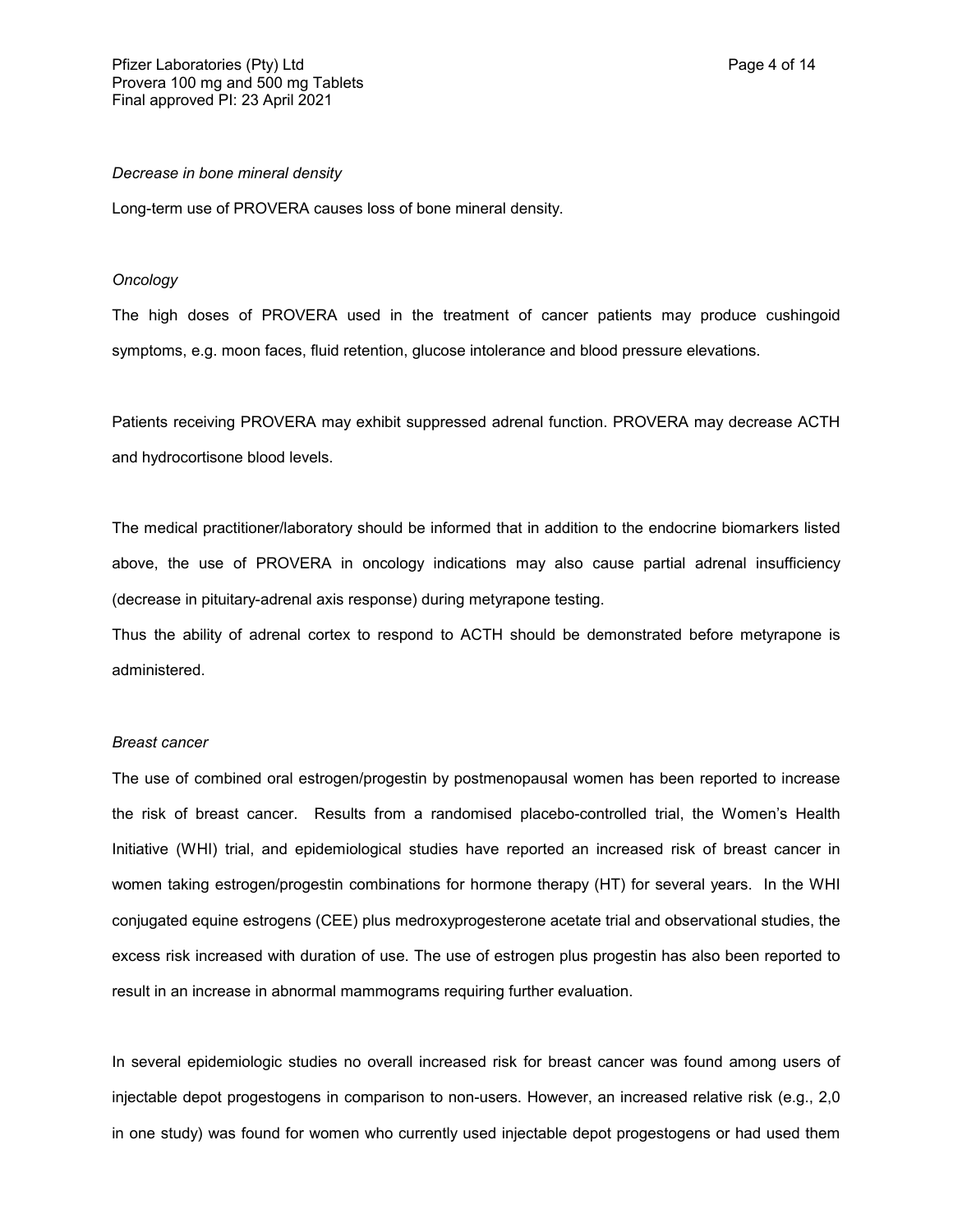#### *Decrease in bone mineral density*

Long-term use of PROVERA causes loss of bone mineral density.

#### *Oncology*

The high doses of PROVERA used in the treatment of cancer patients may produce cushingoid symptoms, e.g. moon faces, fluid retention, glucose intolerance and blood pressure elevations.

Patients receiving PROVERA may exhibit suppressed adrenal function. PROVERA may decrease ACTH and hydrocortisone blood levels.

The medical practitioner/laboratory should be informed that in addition to the endocrine biomarkers listed above, the use of PROVERA in oncology indications may also cause partial adrenal insufficiency (decrease in pituitary-adrenal axis response) during metyrapone testing.

Thus the ability of adrenal cortex to respond to ACTH should be demonstrated before metyrapone is administered.

#### *Breast cancer*

The use of combined oral estrogen/progestin by postmenopausal women has been reported to increase the risk of breast cancer. Results from a randomised placebo-controlled trial, the Women's Health Initiative (WHI) trial, and epidemiological studies have reported an increased risk of breast cancer in women taking estrogen/progestin combinations for hormone therapy (HT) for several years. In the WHI conjugated equine estrogens (CEE) plus medroxyprogesterone acetate trial and observational studies, the excess risk increased with duration of use. The use of estrogen plus progestin has also been reported to result in an increase in abnormal mammograms requiring further evaluation.

In several epidemiologic studies no overall increased risk for breast cancer was found among users of injectable depot progestogens in comparison to non-users. However, an increased relative risk (e.g., 2,0 in one study) was found for women who currently used injectable depot progestogens or had used them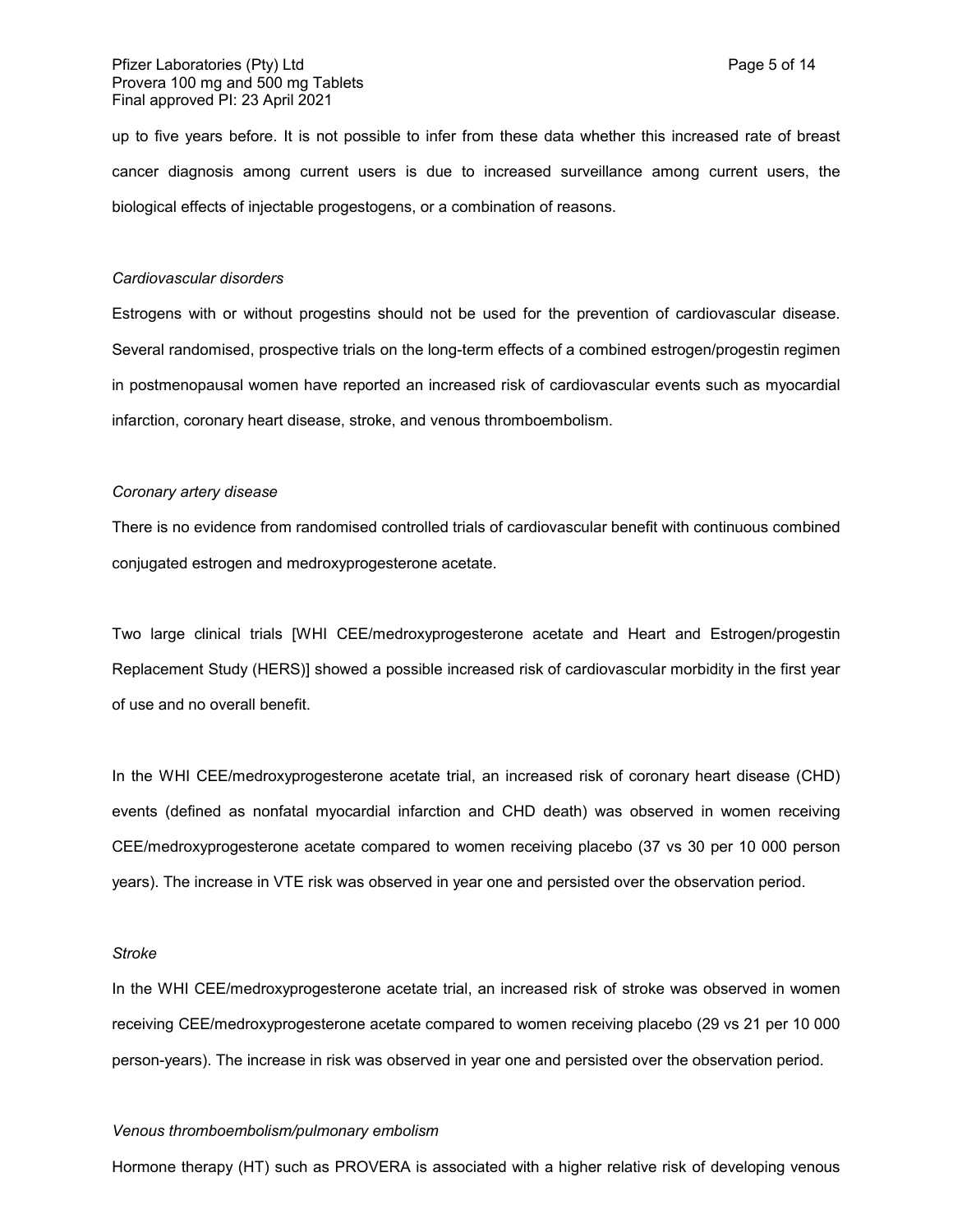up to five years before. It is not possible to infer from these data whether this increased rate of breast cancer diagnosis among current users is due to increased surveillance among current users, the biological effects of injectable progestogens, or a combination of reasons.

#### *Cardiovascular disorders*

Estrogens with or without progestins should not be used for the prevention of cardiovascular disease. Several randomised, prospective trials on the long-term effects of a combined estrogen/progestin regimen in postmenopausal women have reported an increased risk of cardiovascular events such as myocardial infarction, coronary heart disease, stroke, and venous thromboembolism.

### *Coronary artery disease*

There is no evidence from randomised controlled trials of cardiovascular benefit with continuous combined conjugated estrogen and medroxyprogesterone acetate.

Two large clinical trials [WHI CEE/medroxyprogesterone acetate and Heart and Estrogen/progestin Replacement Study (HERS)] showed a possible increased risk of cardiovascular morbidity in the first year of use and no overall benefit.

In the WHI CEE/medroxyprogesterone acetate trial, an increased risk of coronary heart disease (CHD) events (defined as nonfatal myocardial infarction and CHD death) was observed in women receiving CEE/medroxyprogesterone acetate compared to women receiving placebo (37 vs 30 per 10 000 person years). The increase in VTE risk was observed in year one and persisted over the observation period.

#### *Stroke*

In the WHI CEE/medroxyprogesterone acetate trial, an increased risk of stroke was observed in women receiving CEE/medroxyprogesterone acetate compared to women receiving placebo (29 vs 21 per 10 000 person-years). The increase in risk was observed in year one and persisted over the observation period.

#### *Venous thromboembolism/pulmonary embolism*

Hormone therapy (HT) such as PROVERA is associated with a higher relative risk of developing venous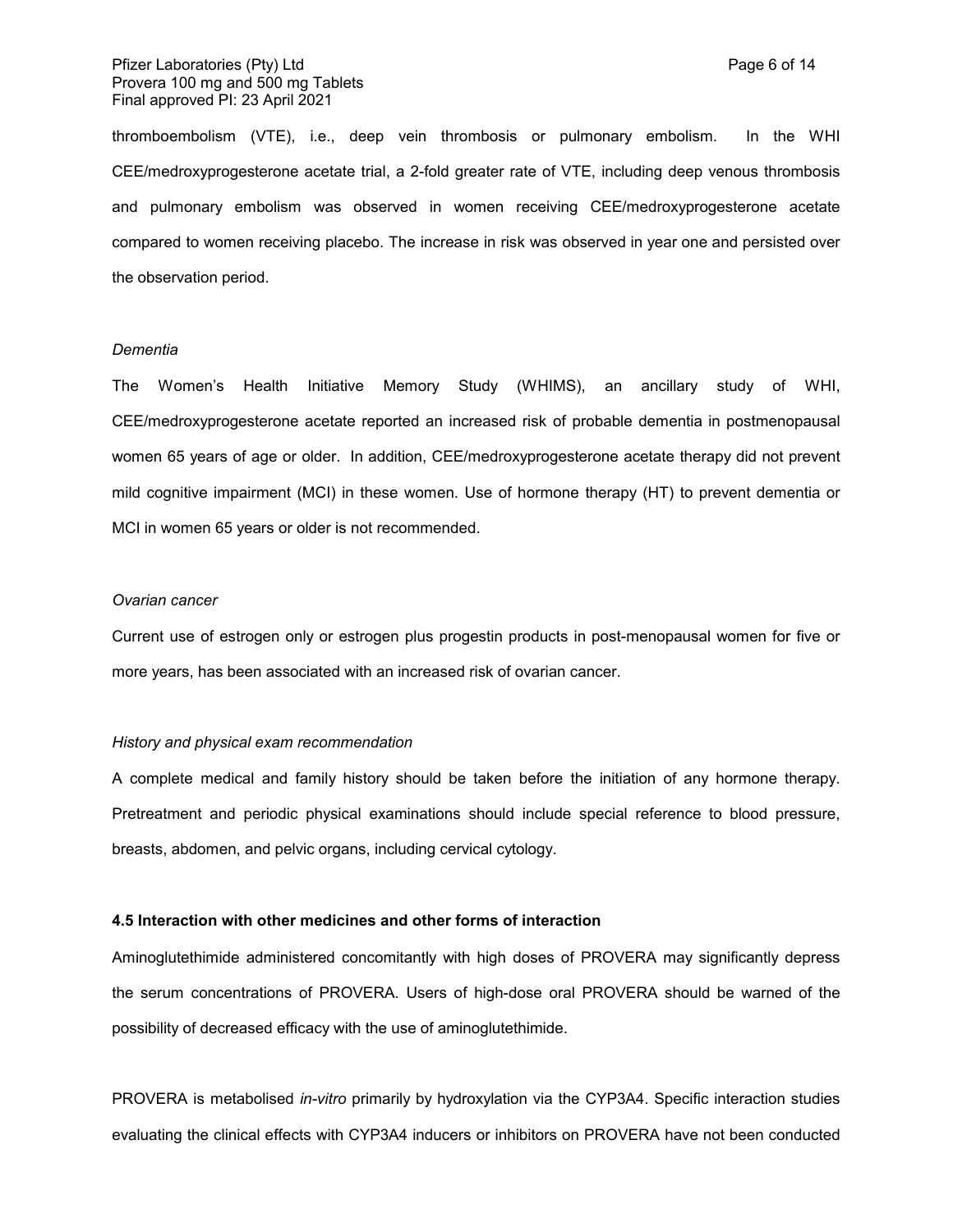thromboembolism (VTE), i.e., deep vein thrombosis or pulmonary embolism. In the WHI CEE/medroxyprogesterone acetate trial, a 2-fold greater rate of VTE, including deep venous thrombosis and pulmonary embolism was observed in women receiving CEE/medroxyprogesterone acetate compared to women receiving placebo. The increase in risk was observed in year one and persisted over the observation period.

#### *Dementia*

The Women's Health Initiative Memory Study (WHIMS), an ancillary study of WHI, CEE/medroxyprogesterone acetate reported an increased risk of probable dementia in postmenopausal women 65 years of age or older. In addition, CEE/medroxyprogesterone acetate therapy did not prevent mild cognitive impairment (MCI) in these women. Use of hormone therapy (HT) to prevent dementia or MCI in women 65 years or older is not recommended.

#### *Ovarian cancer*

Current use of estrogen only or estrogen plus progestin products in post-menopausal women for five or more years, has been associated with an increased risk of ovarian cancer.

#### *History and physical exam recommendation*

A complete medical and family history should be taken before the initiation of any hormone therapy. Pretreatment and periodic physical examinations should include special reference to blood pressure, breasts, abdomen, and pelvic organs, including cervical cytology.

#### **4.5 Interaction with other medicines and other forms of interaction**

Aminoglutethimide administered concomitantly with high doses of PROVERA may significantly depress the serum concentrations of PROVERA. Users of high-dose oral PROVERA should be warned of the possibility of decreased efficacy with the use of aminoglutethimide.

PROVERA is metabolised *in-vitro* primarily by hydroxylation via the CYP3A4. Specific interaction studies evaluating the clinical effects with CYP3A4 inducers or inhibitors on PROVERA have not been conducted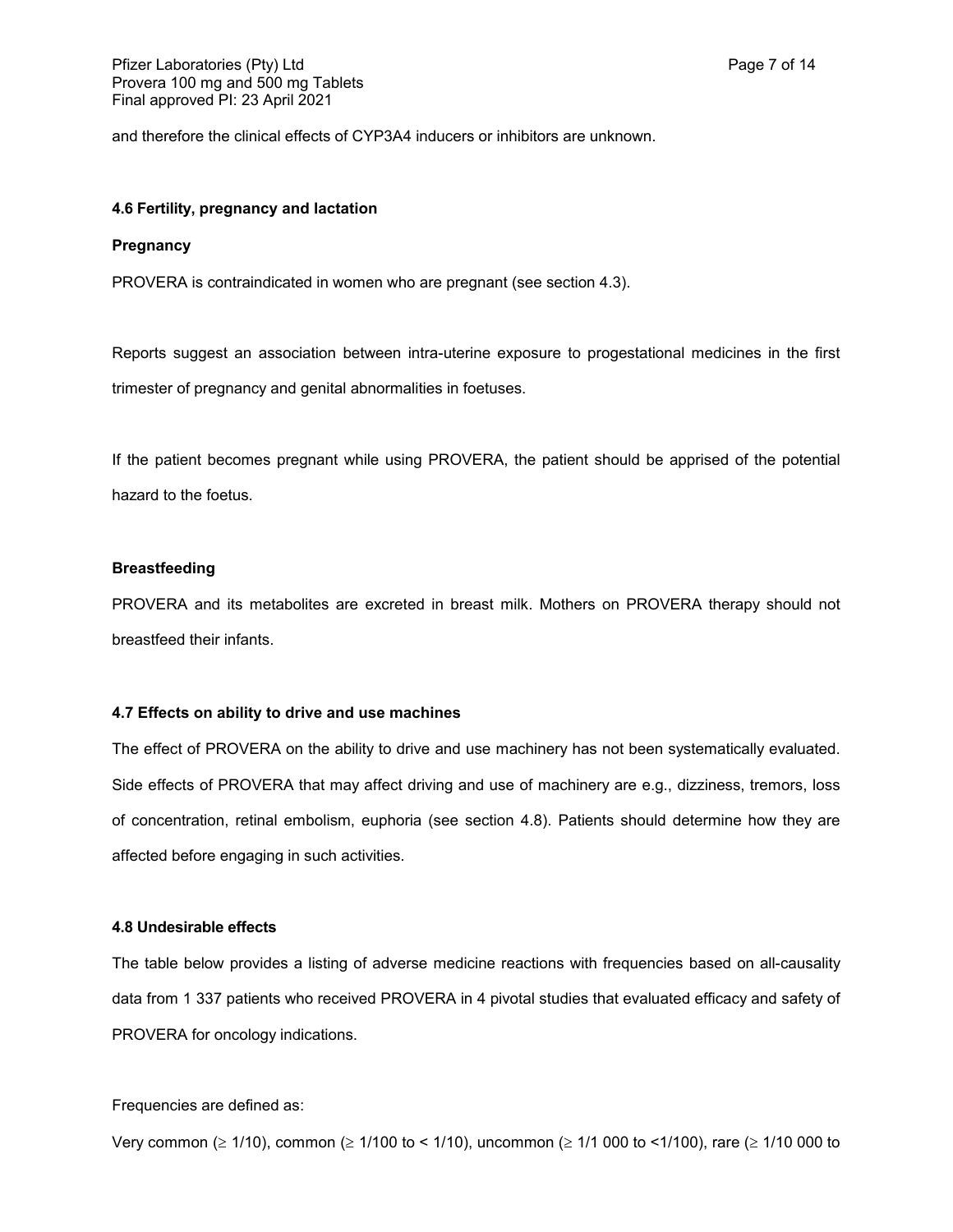and therefore the clinical effects of CYP3A4 inducers or inhibitors are unknown.

### **4.6 Fertility, pregnancy and lactation**

#### **Pregnancy**

PROVERA is contraindicated in women who are pregnant (see section 4.3).

Reports suggest an association between intra-uterine exposure to progestational medicines in the first trimester of pregnancy and genital abnormalities in foetuses.

If the patient becomes pregnant while using PROVERA, the patient should be apprised of the potential hazard to the foetus.

### **Breastfeeding**

PROVERA and its metabolites are excreted in breast milk. Mothers on PROVERA therapy should not breastfeed their infants.

#### **4.7 Effects on ability to drive and use machines**

The effect of PROVERA on the ability to drive and use machinery has not been systematically evaluated. Side effects of PROVERA that may affect driving and use of machinery are e.g., dizziness, tremors, loss of concentration, retinal embolism, euphoria (see section 4.8). Patients should determine how they are affected before engaging in such activities.

#### **4.8 Undesirable effects**

The table below provides a listing of adverse medicine reactions with frequencies based on all-causality data from 1 337 patients who received PROVERA in 4 pivotal studies that evaluated efficacy and safety of PROVERA for oncology indications.

Frequencies are defined as:

Very common ( $\geq 1/10$ ), common ( $\geq 1/100$  to < 1/10), uncommon ( $\geq 1/1000$  to <1/100), rare ( $\geq 1/10000$  to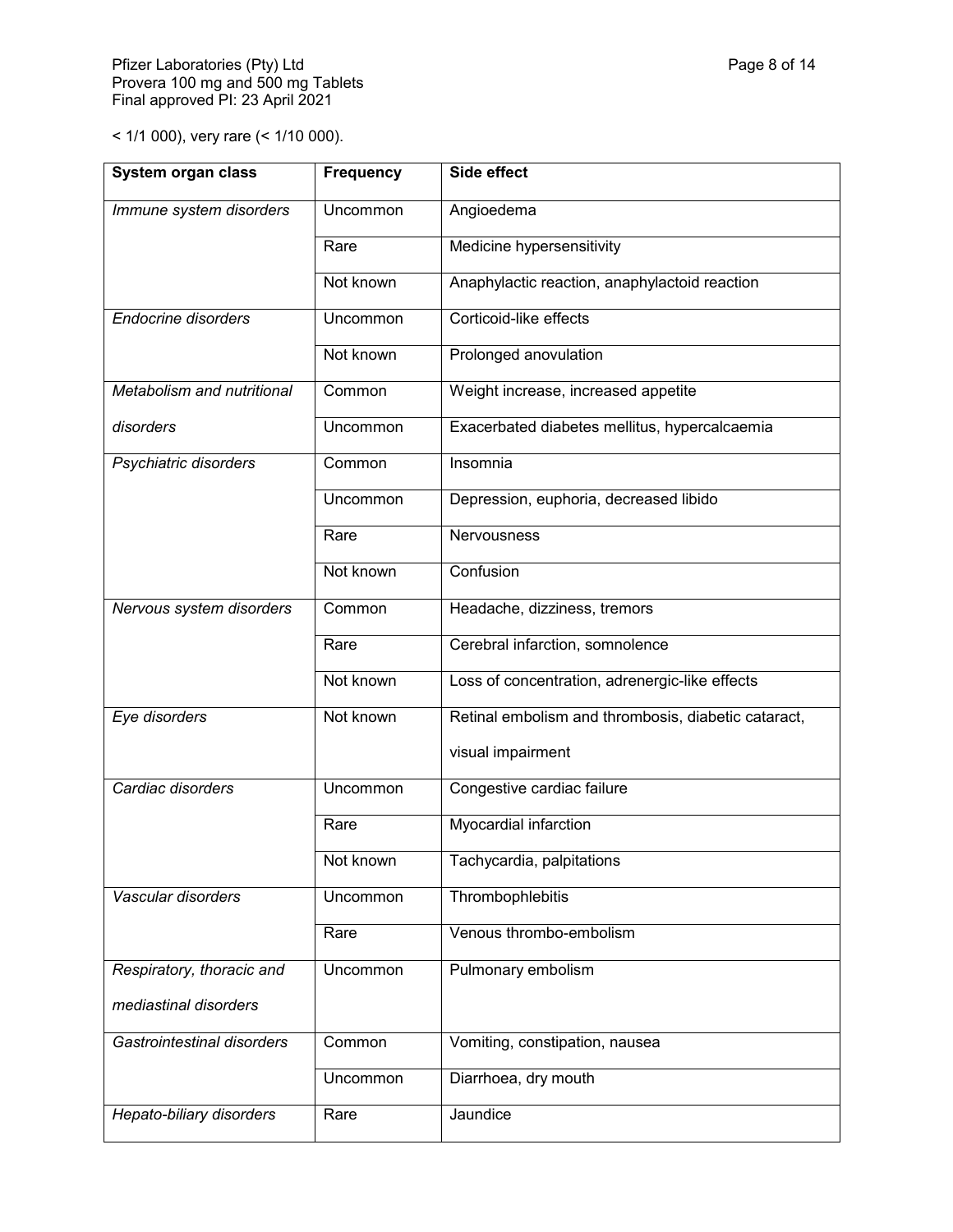< 1/1 000), very rare (< 1/10 000).

| System organ class         | <b>Frequency</b> | Side effect                                         |
|----------------------------|------------------|-----------------------------------------------------|
| Immune system disorders    | Uncommon         | Angioedema                                          |
|                            | Rare             | Medicine hypersensitivity                           |
|                            | Not known        | Anaphylactic reaction, anaphylactoid reaction       |
| <b>Endocrine disorders</b> | Uncommon         | Corticoid-like effects                              |
|                            | Not known        | Prolonged anovulation                               |
| Metabolism and nutritional | Common           | Weight increase, increased appetite                 |
| disorders                  | Uncommon         | Exacerbated diabetes mellitus, hypercalcaemia       |
| Psychiatric disorders      | Common           | Insomnia                                            |
|                            | <b>Uncommon</b>  | Depression, euphoria, decreased libido              |
|                            | Rare             | Nervousness                                         |
|                            | Not known        | Confusion                                           |
| Nervous system disorders   | Common           | Headache, dizziness, tremors                        |
|                            | Rare             | Cerebral infarction, somnolence                     |
|                            | Not known        | Loss of concentration, adrenergic-like effects      |
| Eye disorders              | Not known        | Retinal embolism and thrombosis, diabetic cataract, |
|                            |                  | visual impairment                                   |
| Cardiac disorders          | Uncommon         | Congestive cardiac failure                          |
|                            | Rare             | Myocardial infarction                               |
|                            | Not known        | Tachycardia, palpitations                           |
| Vascular disorders         | Uncommon         | Thrombophlebitis                                    |
|                            | Rare             | Venous thrombo-embolism                             |
| Respiratory, thoracic and  | Uncommon         | Pulmonary embolism                                  |
| mediastinal disorders      |                  |                                                     |
| Gastrointestinal disorders | Common           | Vomiting, constipation, nausea                      |
|                            | Uncommon         | Diarrhoea, dry mouth                                |
| Hepato-biliary disorders   | Rare             | Jaundice                                            |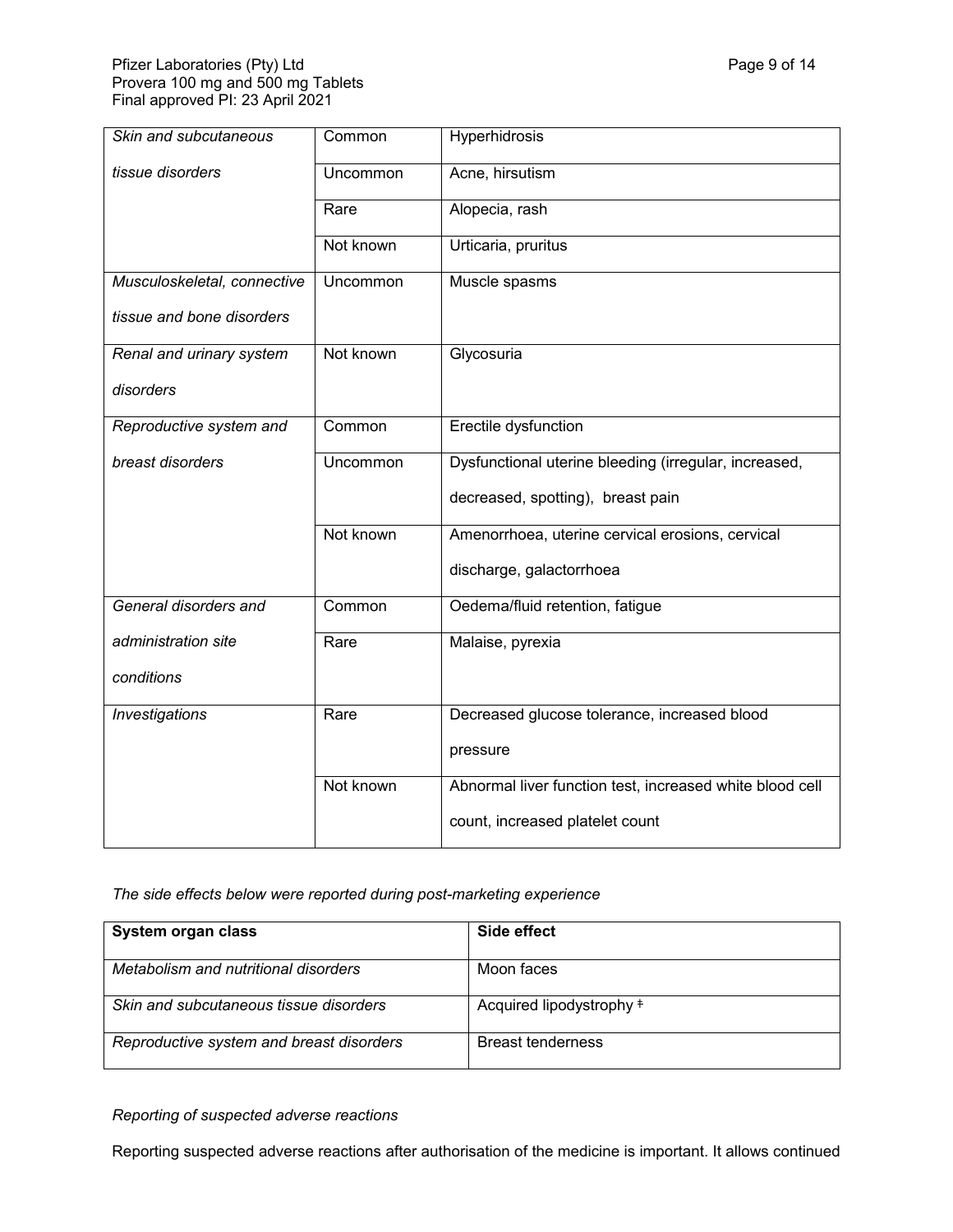| Skin and subcutaneous       | Common    | Hyperhidrosis                                            |
|-----------------------------|-----------|----------------------------------------------------------|
| tissue disorders            | Uncommon  | Acne, hirsutism                                          |
|                             | Rare      | Alopecia, rash                                           |
|                             | Not known | Urticaria, pruritus                                      |
| Musculoskeletal, connective | Uncommon  | Muscle spasms                                            |
| tissue and bone disorders   |           |                                                          |
| Renal and urinary system    | Not known | Glycosuria                                               |
| disorders                   |           |                                                          |
| Reproductive system and     | Common    | Erectile dysfunction                                     |
| breast disorders            | Uncommon  | Dysfunctional uterine bleeding (irregular, increased,    |
|                             |           | decreased, spotting), breast pain                        |
|                             | Not known | Amenorrhoea, uterine cervical erosions, cervical         |
|                             |           | discharge, galactorrhoea                                 |
| General disorders and       | Common    | Oedema/fluid retention, fatigue                          |
| administration site         | Rare      | Malaise, pyrexia                                         |
| conditions                  |           |                                                          |
| Investigations              | Rare      | Decreased glucose tolerance, increased blood             |
|                             |           | pressure                                                 |
|                             | Not known | Abnormal liver function test, increased white blood cell |
|                             |           | count, increased platelet count                          |

*The side effects below were reported during post-marketing experience*

| System organ class                       | Side effect                         |
|------------------------------------------|-------------------------------------|
| Metabolism and nutritional disorders     | Moon faces                          |
| Skin and subcutaneous tissue disorders   | Acquired lipodystrophy <sup>#</sup> |
| Reproductive system and breast disorders | <b>Breast tenderness</b>            |

*Reporting of suspected adverse reactions*

Reporting suspected adverse reactions after authorisation of the medicine is important. It allows continued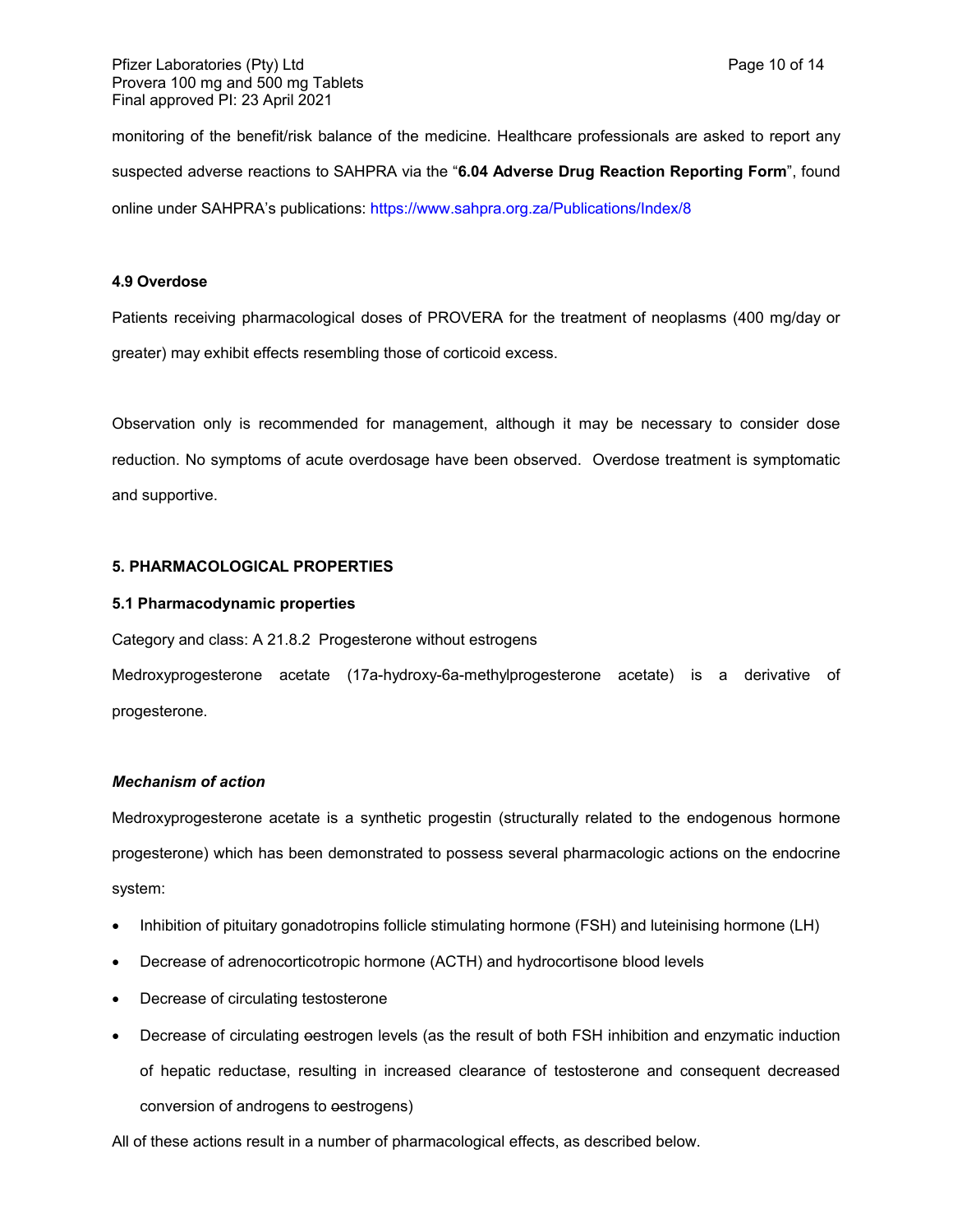monitoring of the benefit/risk balance of the medicine. Healthcare professionals are asked to report any suspected adverse reactions to SAHPRA via the "**6.04 Adverse Drug Reaction Reporting Form**", found online under SAHPRA's publications:<https://www.sahpra.org.za/Publications/Index/8>

## **4.9 Overdose**

Patients receiving pharmacological doses of PROVERA for the treatment of neoplasms (400 mg/day or greater) may exhibit effects resembling those of corticoid excess.

Observation only is recommended for management, although it may be necessary to consider dose reduction. No symptoms of acute overdosage have been observed. Overdose treatment is symptomatic and supportive.

### **5. PHARMACOLOGICAL PROPERTIES**

### **5.1 Pharmacodynamic properties**

Category and class: A 21.8.2 Progesterone without estrogens

Medroxyprogesterone acetate (17a-hydroxy-6a-methylprogesterone acetate) is a derivative of progesterone.

## *Mechanism of action*

Medroxyprogesterone acetate is a synthetic progestin (structurally related to the endogenous hormone progesterone) which has been demonstrated to possess several pharmacologic actions on the endocrine system:

- Inhibition of pituitary gonadotropins follicle stimulating hormone (FSH) and luteinising hormone (LH)
- Decrease of adrenocorticotropic hormone (ACTH) and hydrocortisone blood levels
- Decrease of circulating testosterone
- Decrease of circulating oestrogen levels (as the result of both FSH inhibition and enzymatic induction of hepatic reductase, resulting in increased clearance of testosterone and consequent decreased conversion of androgens to oestrogens)

All of these actions result in a number of pharmacological effects, as described below.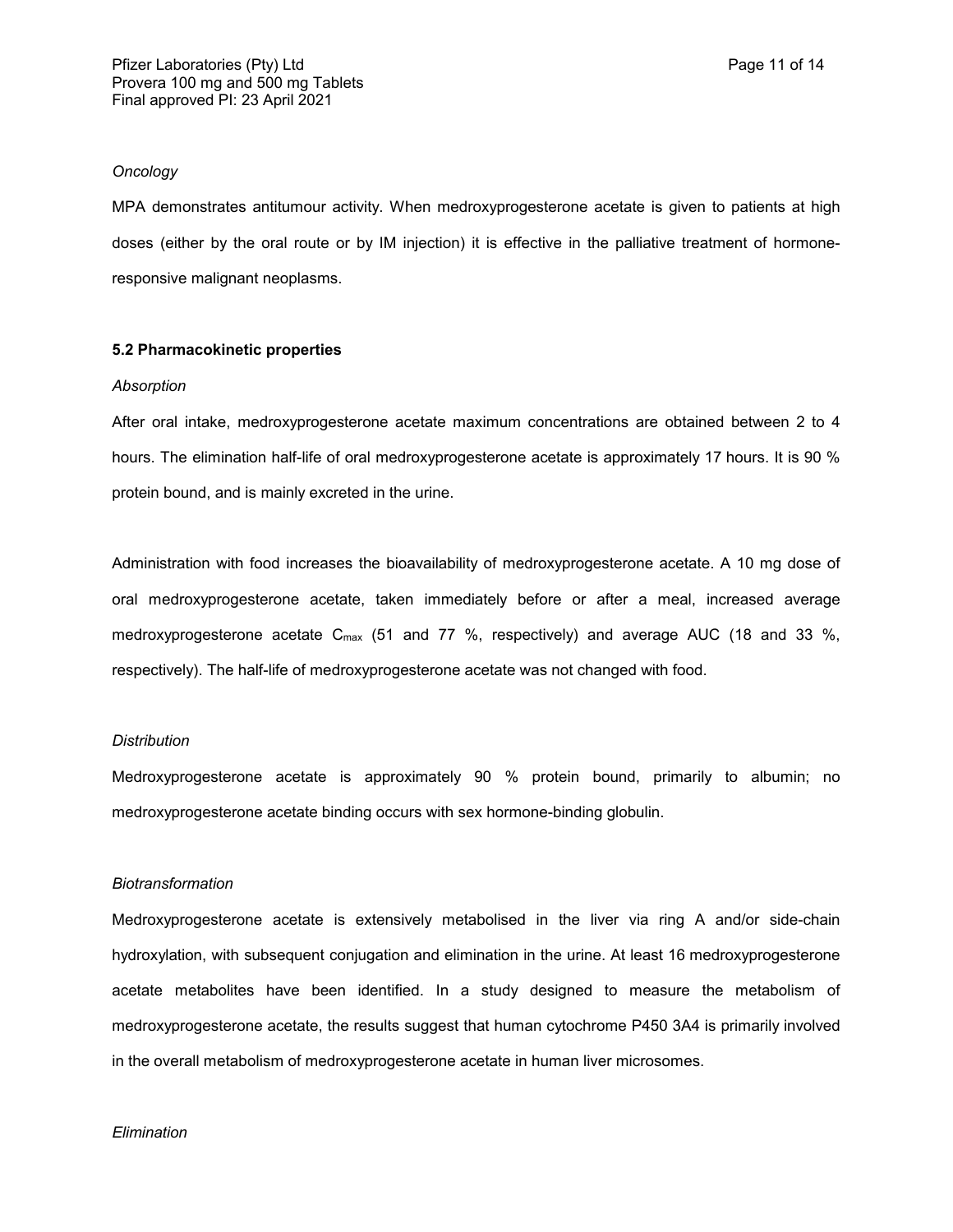#### *Oncology*

MPA demonstrates antitumour activity. When medroxyprogesterone acetate is given to patients at high doses (either by the oral route or by IM injection) it is effective in the palliative treatment of hormoneresponsive malignant neoplasms.

### **5.2 Pharmacokinetic properties**

#### *Absorption*

After oral intake, medroxyprogesterone acetate maximum concentrations are obtained between 2 to 4 hours. The elimination half-life of oral medroxyprogesterone acetate is approximately 17 hours. It is 90 % protein bound, and is mainly excreted in the urine.

Administration with food increases the bioavailability of medroxyprogesterone acetate. A 10 mg dose of oral medroxyprogesterone acetate, taken immediately before or after a meal, increased average medroxyprogesterone acetate  $C_{\text{max}}$  (51 and 77 %, respectively) and average AUC (18 and 33 %, respectively). The half-life of medroxyprogesterone acetate was not changed with food.

#### *Distribution*

Medroxyprogesterone acetate is approximately 90 % protein bound, primarily to albumin; no medroxyprogesterone acetate binding occurs with sex hormone-binding globulin.

#### *Biotransformation*

Medroxyprogesterone acetate is extensively metabolised in the liver via ring A and/or side-chain hydroxylation, with subsequent conjugation and elimination in the urine. At least 16 medroxyprogesterone acetate metabolites have been identified. In a study designed to measure the metabolism of medroxyprogesterone acetate, the results suggest that human cytochrome P450 3A4 is primarily involved in the overall metabolism of medroxyprogesterone acetate in human liver microsomes.

#### *Elimination*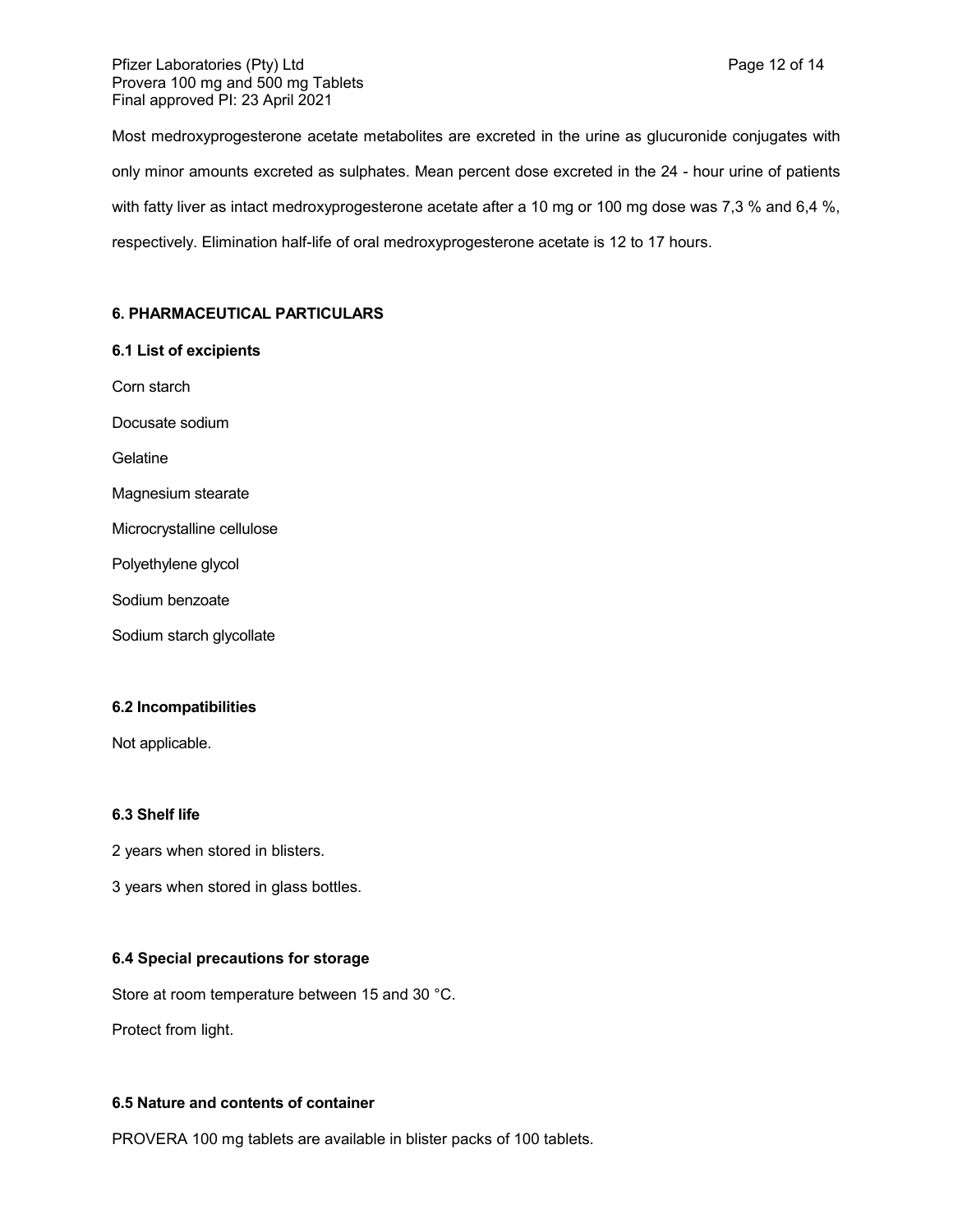Most medroxyprogesterone acetate metabolites are excreted in the urine as glucuronide conjugates with only minor amounts excreted as sulphates. Mean percent dose excreted in the 24 - hour urine of patients with fatty liver as intact medroxyprogesterone acetate after a 10 mg or 100 mg dose was 7,3 % and 6,4 %, respectively. Elimination half-life of oral medroxyprogesterone acetate is 12 to 17 hours.

## **6. PHARMACEUTICAL PARTICULARS**

## **6.1 List of excipients**

- Corn starch
- Docusate sodium

Gelatine

- Magnesium stearate
- Microcrystalline cellulose
- Polyethylene glycol
- Sodium benzoate
- Sodium starch glycollate

## **6.2 Incompatibilities**

Not applicable.

## **6.3 Shelf life**

- 2 years when stored in blisters.
- 3 years when stored in glass bottles.

## **6.4 Special precautions for storage**

Store at room temperature between 15 and 30 °C.

Protect from light.

## **6.5 Nature and contents of container**

PROVERA 100 mg tablets are available in blister packs of 100 tablets.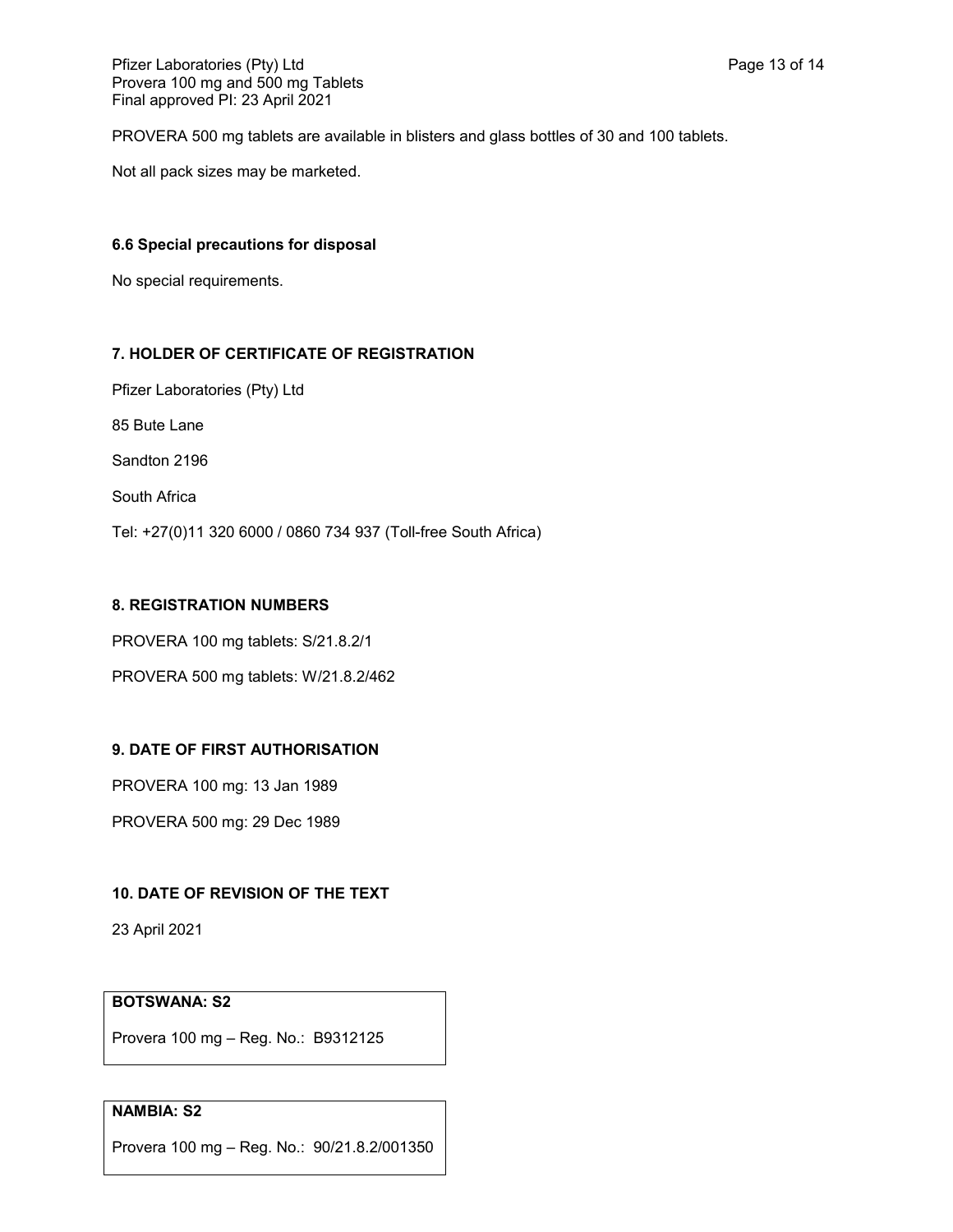PROVERA 500 mg tablets are available in blisters and glass bottles of 30 and 100 tablets.

Not all pack sizes may be marketed.

## **6.6 Special precautions for disposal**

No special requirements.

## **7. HOLDER OF CERTIFICATE OF REGISTRATION**

Pfizer Laboratories (Pty) Ltd

85 Bute Lane

Sandton 2196

South Africa

Tel: +27(0)11 320 6000 / 0860 734 937 (Toll-free South Africa)

## **8. REGISTRATION NUMBERS**

PROVERA 100 mg tablets: S/21.8.2/1

PROVERA 500 mg tablets: W/21.8.2/462

## **9. DATE OF FIRST AUTHORISATION**

PROVERA 100 mg: 13 Jan 1989

PROVERA 500 mg: 29 Dec 1989

## **10. DATE OF REVISION OF THE TEXT**

23 April 2021

# **BOTSWANA: S2**

Provera 100 mg – Reg. No.: B9312125

# **NAMBIA: S2**

Provera 100 mg – Reg. No.: 90/21.8.2/001350